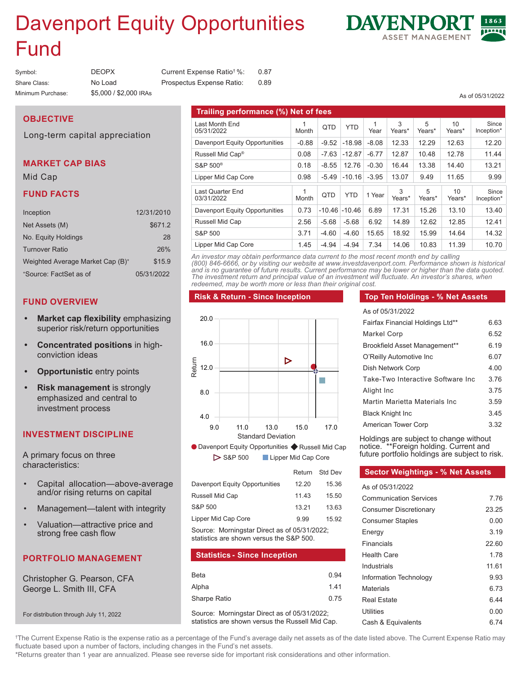# Devenpert  $E^{\text{av}}$ Davenport Equity Opportunities Fund

| Symbol:           | <b>DEOPX</b>           | Current Expense Ratio <sup>†</sup> %: | 0.87 |
|-------------------|------------------------|---------------------------------------|------|
| Share Class:      | No Load                | Prospectus Expense Ratio:             | 0.89 |
| Minimum Purchase: | \$5,000 / \$2,000 IRAs |                                       |      |

#### Last Month End 05/31/2022 1  $\begin{array}{c|c|c|c|c} 1 & \text{QTD} & \text{YTD} & \text{Yea} \end{array}$ Year 3 Years<sup>\*</sup> 5 Years\* 10 Years<sup>\*</sup> Since Inception\* Inception\* Davenport Equity Opportunities -0.88 -9.52 -18.98 -8.08 12.33 12.29 12.63 12.20 Russell Mid Cap® 0.08 -7.63 -12.87 -6.77 12.87 10.48 12.78 11.44  $\mathsf{S}\texttt{QP} = \mathsf{S}\texttt{O}^{\otimes} \quad \text{(13)} \quad \mathsf{0.18} \quad \mathsf{-8.55} \quad \mathsf{12.76} \quad \mathsf{-0.30} \quad \mathsf{16.44} \quad \mathsf{13.38} \quad \mathsf{14.40} \quad \text{(13.21)}$ Lipper Mid Cap Core 0.98 -5.49 -10.16 -3.95 13.07 9.49 11.65 9.99 **Trailing Performance (%) Net of Fees Trailing performance (%) Net of fees** 05/31/2022 Month 3 Month 3 YEar Years\* Years\* Years\* Inception  $S&P 500<sup>®</sup>$ Lipper Mid-Cap Core -0.88 -9.52 12.33 12.33 12.33 12.33 12.33 12.33 12.33 12.33 12.39 12.329 12.33 12.33 12.33 12.39 12.30 12.30 1 <del>0.08 -7.63 -7.63 -7.63 -7.63 -7.63 -7.63 -7.63 -7.63 -7.63 -7.63 -7.63 -7.63 -7.63 -7.63 -7.63 -7.63 -7.63 -7.6</del> 0.18 -8.55 -8.55 -8.55 -8.55 -8.55 -8.55 -8.55 -8.55 -8.55 -8.55 -8.55 -8.55 -8.55 -8.44 14.40 -8.40 -8.40 -8. 0.00 - 5.10 - 5.10 - 5.10 - 5.10 - 5.10 - 5.10 - 5.10 03/31/2022 **1 Month** 3 Month 3 Years\* Years\* Years\* Pears\* Inceptio  $1340$ Russell Mid Cap 2.56 -5.68 -5.68 6.92 14.89 12.62 12.85 12.41 S&P 500 Lipper Mid Cap Core 1.45 -4.94 -4.94 7.34 14.06 10.83 11.39 10.70 25 568 568 692 1189 1262 1285 124 2.74 -4.69 -4.69 4.5.65 1.49.99 1.45.99 1.44.64 1.40  $3.71$   $3.71$   $3.91$   $3.91$   $3.92$   $3.92$   $3.92$   $3.92$   $3.92$ Last Quarter End 03/31/2022 1<br>Month  $\begin{array}{c|c|c|c|c} \text{1} & \text{QTD} & \text{YTD} & \text{1 Year} & \text{2} \ \text{Month} & \text{YED} & \text{1 Year} & \text{2} \ \end{array}$ Years\* 5 Years\* 10 Years<sup>\*</sup> Since Inception<sup>\*</sup> Davenport Equity Opportunities | 0.73 -10.46 -10.46 6.89 17.31 | 15.26 | 13.10 S&P 500 3.71 -4.60 -4.60 15.65 18.92 15.99 14.64 14.32

*An investor may obtain performance data current to the most recent month end by calling (800) 846-6666, or by visiting our*  and is no guarantee of future results. Current performance may be lower or higher than the data quoted. The investment return and principal value of an investment will fluctuate. An investor's shares, when *investor's shares, when redeemed, may be worth more or less than their original cost. redeemed, may be worth more or less than their original cost.* **An investor may obtain performance data current to the most recent month end by calling and the most recent month of** *(800) 846-6666, or by visiting our website at www.investdavenport.com. Performance shown is historical* 

#### **Risk & Return - Since Inception Risk & Return - Since Inception**

### 20.0 16.0  $\triangleright$ Return 12.0 П 8.0  $\begin{array}{c|c}\n4.0 & 9.0 \\
\hline\n\end{array}$ <br>  $\begin{array}{c}\n\bullet \\
\bullet \\
\end{array}$  Davenpo 4.0 9.0 11.0 13.0 15.0 17.0 Standard Deviation ● Davenport Equity Opportunities ◆ Russel Davenport Equity Opportunities ♦ Russell Mid Cap

Return Std Dev S&P 500 Lipper Mid Cap Core

|                                              | .     | ----  |
|----------------------------------------------|-------|-------|
| Davenport Equity Opportunities               | 12.20 | 15.36 |
| Russell Mid Cap                              | 11.43 | 15.50 |
| S&P 500                                      | 13.21 | 13.63 |
| Lipper Mid Cap Core                          | 9.99  | 15.92 |
| Source: Morningstar Direct as of 05/31/2022; |       |       |

statistics are shown versus the S&P 500.

#### **Statistics - Since Inception Statistics - Since Inception**

| Beta         | 0.94 |
|--------------|------|
| Alpha        | 1.41 |
| Sharpe Ratio | 0.75 |

Source: Morningstar Direct as or 60,0 h 2022;<br>statistics are shown versus the Russell Mid Cap. Source: Morningstar Direct as of 05/31/2022;

#### **Top Ten Holdings - % Net Assets**

| As of 05/31/2022                  |      |
|-----------------------------------|------|
| Fairfax Financial Holdings Ltd**  | 6.63 |
| Markel Corp                       | ճ 52 |
| Brookfield Asset Management**     | 6.19 |
| O'Reilly Automotive Inc           | 6.07 |
| Dish Network Corp                 | 4.00 |
| Take-Two Interactive Software Inc | 376  |
| Alight Inc                        | 375  |
| Martin Marietta Materials Inc.    | 3.59 |
| <b>Black Knight Inc</b>           | 345  |
| American Tower Corp               | 3.32 |
|                                   |      |

**OVERALL MORNINGSTAR RATING™** notice. \*\*Foreign holding. Current and Holdings are subject to change without future portfolio holdings are subject to risk.

# **Sector Weightings - % Net Assets**

| As of 05/31/2022              |       |
|-------------------------------|-------|
| <b>Communication Services</b> | 7 76  |
| <b>Consumer Discretionary</b> | 23.25 |
| <b>Consumer Staples</b>       | 0.00  |
| Energy                        | 3.19  |
| Financials                    | 22.60 |
| Health Care                   | 178   |
| Industrials                   | 11.61 |
| Information Technology        | 9.93  |
| Materials                     | ჩ 73  |
| <b>Real Estate</b>            | 6.44  |
| <b>Utilities</b>              | 0.00  |
| Cash & Equivalents            | ճ 74  |
|                               |       |

fluctuate based upon a number of factors, including changes in the Fund's net assets. †The Current Expense Ratio is the expense ratio as a percentage of the Fund's average daily net assets as of the date listed above. The Current Expense Ratio may

\*Returns greater than 1 year are annualized. Please see reverse side for important risk considerations and other information.

# **OBJECTIVE OBJECTIVE**

Long-term capital appreciation Long-term capital appreciation

### **MARKET CAP BIAS MARKET CAP BIAS**

Mid Cap Mid Cap

#### **FUND FACTS**

| Inception                                    | 12/31/2010 |
|----------------------------------------------|------------|
| Net Assets (M)                               | \$671.2    |
| No. Equity Holdings                          | 28         |
| Turnover Ratio                               | 26%        |
| Weighted Average Market Cap (B) <sup>+</sup> | \$15.9     |
| *Source: FactSet as of                       | 05/31/2022 |

### **FUND OVERVIEW**

- **FUND OVERVIEW** superior risk/return opportunities **•** Market cap flexibility emphasizing
- **Market cap flexibility** emphasizing superior risk/ **return opportunities** conviction ideas **• Concentrated positions** in high-
- **• Opportunistic** entry points
- **• Risk management** is strongly **Example is strongly emphasized and central to**  $\blacksquare$ **investment process**

#### **INVESTMENT DISCIPLINE**

A primary focus on three characteristics:

- Capital allocation—above-average anḋ/or rising returns on capital
- $\bullet$ • Management-talent with integrity
- Valuation—attractive price and strong free cash flow

## **PORTFOLIO MANAGEMENT**

**PORTFOLIO MANAGEMENT** George L. Smith III, CFA Christopher G. Pearson, CFA

For distribution through July 11, 2022

George L. Smith, III, CFA

**DAVENPO** 

As of 5/31/2022 As of 05/31/2022